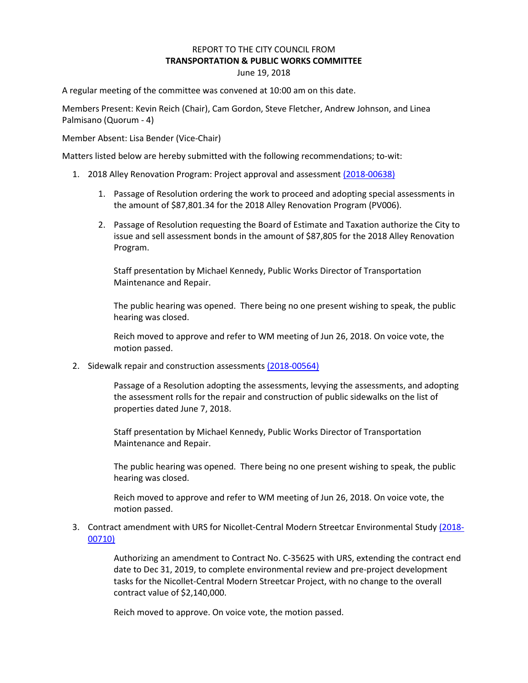## REPORT TO THE CITY COUNCIL FROM **TRANSPORTATION & PUBLIC WORKS COMMITTEE** June 19, 2018

A regular meeting of the committee was convened at 10:00 am on this date.

Members Present: Kevin Reich (Chair), Cam Gordon, Steve Fletcher, Andrew Johnson, and Linea Palmisano (Quorum - 4)

Member Absent: Lisa Bender (Vice-Chair)

Matters listed below are hereby submitted with the following recommendations; to-wit:

- 1. 2018 Alley Renovation Program: Project approval and assessment [\(2018-00638\)](https://lims.minneapolismn.gov/File/2018-00638)
	- 1. Passage of Resolution ordering the work to proceed and adopting special assessments in the amount of \$87,801.34 for the 2018 Alley Renovation Program (PV006).
	- 2. Passage of Resolution requesting the Board of Estimate and Taxation authorize the City to issue and sell assessment bonds in the amount of \$87,805 for the 2018 Alley Renovation Program.

Staff presentation by Michael Kennedy, Public Works Director of Transportation Maintenance and Repair.

The public hearing was opened. There being no one present wishing to speak, the public hearing was closed.

Reich moved to approve and refer to WM meeting of Jun 26, 2018. On voice vote, the motion passed.

2. Sidewalk repair and construction assessment[s \(2018-00564\)](https://lims.minneapolismn.gov/File/2018-00564)

Passage of a Resolution adopting the assessments, levying the assessments, and adopting the assessment rolls for the repair and construction of public sidewalks on the list of properties dated June 7, 2018.

Staff presentation by Michael Kennedy, Public Works Director of Transportation Maintenance and Repair.

The public hearing was opened. There being no one present wishing to speak, the public hearing was closed.

Reich moved to approve and refer to WM meeting of Jun 26, 2018. On voice vote, the motion passed.

3. Contract amendment with URS for Nicollet-Central Modern Streetcar Environmental Study [\(2018-](https://lims.minneapolismn.gov/File/2018-00710) [00710\)](https://lims.minneapolismn.gov/File/2018-00710)

> Authorizing an amendment to Contract No. C-35625 with URS, extending the contract end date to Dec 31, 2019, to complete environmental review and pre-project development tasks for the Nicollet-Central Modern Streetcar Project, with no change to the overall contract value of \$2,140,000.

Reich moved to approve. On voice vote, the motion passed.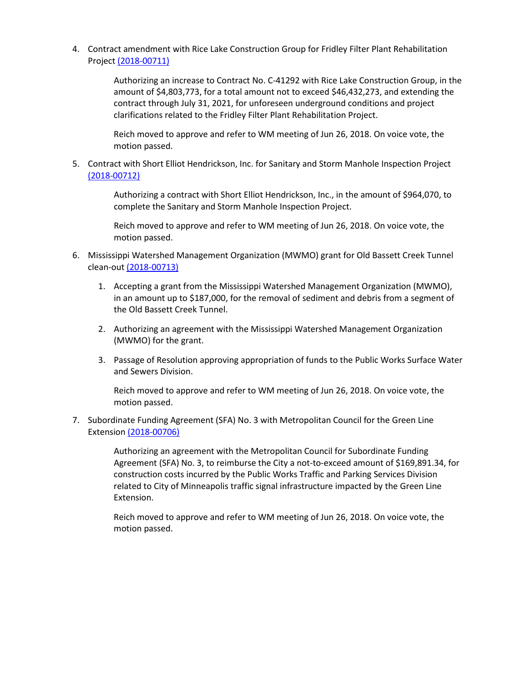4. Contract amendment with Rice Lake Construction Group for Fridley Filter Plant Rehabilitation Project [\(2018-00711\)](https://lims.minneapolismn.gov/File/2018-00711)

> Authorizing an increase to Contract No. C-41292 with Rice Lake Construction Group, in the amount of \$4,803,773, for a total amount not to exceed \$46,432,273, and extending the contract through July 31, 2021, for unforeseen underground conditions and project clarifications related to the Fridley Filter Plant Rehabilitation Project.

Reich moved to approve and refer to WM meeting of Jun 26, 2018. On voice vote, the motion passed.

5. Contract with Short Elliot Hendrickson, Inc. for Sanitary and Storm Manhole Inspection Project [\(2018-00712\)](https://lims.minneapolismn.gov/File/2018-00712)

> Authorizing a contract with Short Elliot Hendrickson, Inc., in the amount of \$964,070, to complete the Sanitary and Storm Manhole Inspection Project.

Reich moved to approve and refer to WM meeting of Jun 26, 2018. On voice vote, the motion passed.

- 6. Mississippi Watershed Management Organization (MWMO) grant for Old Bassett Creek Tunnel clean-out [\(2018-00713\)](https://lims.minneapolismn.gov/File/2018-00713)
	- 1. Accepting a grant from the Mississippi Watershed Management Organization (MWMO), in an amount up to \$187,000, for the removal of sediment and debris from a segment of the Old Bassett Creek Tunnel.
	- 2. Authorizing an agreement with the Mississippi Watershed Management Organization (MWMO) for the grant.
	- 3. Passage of Resolution approving appropriation of funds to the Public Works Surface Water and Sewers Division.

Reich moved to approve and refer to WM meeting of Jun 26, 2018. On voice vote, the motion passed.

7. Subordinate Funding Agreement (SFA) No. 3 with Metropolitan Council for the Green Line Extension [\(2018-00706\)](https://lims.minneapolismn.gov/File/2018-00706)

> Authorizing an agreement with the Metropolitan Council for Subordinate Funding Agreement (SFA) No. 3, to reimburse the City a not-to-exceed amount of \$169,891.34, for construction costs incurred by the Public Works Traffic and Parking Services Division related to City of Minneapolis traffic signal infrastructure impacted by the Green Line Extension.

Reich moved to approve and refer to WM meeting of Jun 26, 2018. On voice vote, the motion passed.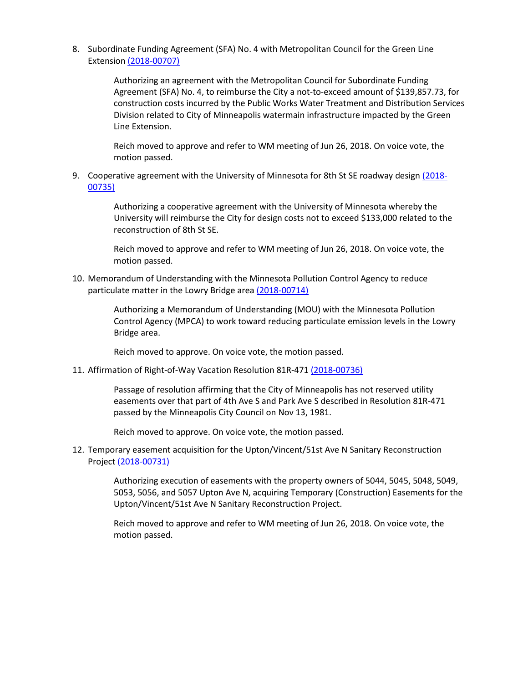8. Subordinate Funding Agreement (SFA) No. 4 with Metropolitan Council for the Green Line Extension [\(2018-00707\)](https://lims.minneapolismn.gov/File/2018-00707)

> Authorizing an agreement with the Metropolitan Council for Subordinate Funding Agreement (SFA) No. 4, to reimburse the City a not-to-exceed amount of \$139,857.73, for construction costs incurred by the Public Works Water Treatment and Distribution Services Division related to City of Minneapolis watermain infrastructure impacted by the Green Line Extension.

Reich moved to approve and refer to WM meeting of Jun 26, 2018. On voice vote, the motion passed.

9. Cooperative agreement with the University of Minnesota for 8th St SE roadway design [\(2018-](https://lims.minneapolismn.gov/File/2018-00735) [00735\)](https://lims.minneapolismn.gov/File/2018-00735)

> Authorizing a cooperative agreement with the University of Minnesota whereby the University will reimburse the City for design costs not to exceed \$133,000 related to the reconstruction of 8th St SE.

Reich moved to approve and refer to WM meeting of Jun 26, 2018. On voice vote, the motion passed.

10. Memorandum of Understanding with the Minnesota Pollution Control Agency to reduce particulate matter in the Lowry Bridge are[a \(2018-00714\)](https://lims.minneapolismn.gov/File/2018-00714)

> Authorizing a Memorandum of Understanding (MOU) with the Minnesota Pollution Control Agency (MPCA) to work toward reducing particulate emission levels in the Lowry Bridge area.

Reich moved to approve. On voice vote, the motion passed.

11. Affirmation of Right-of-Way Vacation Resolution 81R-47[1 \(2018-00736\)](https://lims.minneapolismn.gov/File/2018-00736)

Passage of resolution affirming that the City of Minneapolis has not reserved utility easements over that part of 4th Ave S and Park Ave S described in Resolution 81R-471 passed by the Minneapolis City Council on Nov 13, 1981.

Reich moved to approve. On voice vote, the motion passed.

12. Temporary easement acquisition for the Upton/Vincent/51st Ave N Sanitary Reconstruction Project [\(2018-00731\)](https://lims.minneapolismn.gov/File/2018-00731)

> Authorizing execution of easements with the property owners of 5044, 5045, 5048, 5049, 5053, 5056, and 5057 Upton Ave N, acquiring Temporary (Construction) Easements for the Upton/Vincent/51st Ave N Sanitary Reconstruction Project.

Reich moved to approve and refer to WM meeting of Jun 26, 2018. On voice vote, the motion passed.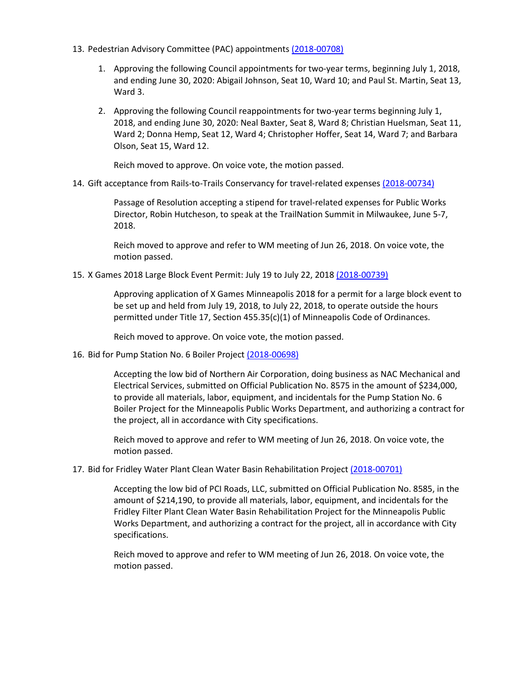- 13. Pedestrian Advisory Committee (PAC) appointments [\(2018-00708\)](https://lims.minneapolismn.gov/File/2018-00708)
	- 1. Approving the following Council appointments for two-year terms, beginning July 1, 2018, and ending June 30, 2020: Abigail Johnson, Seat 10, Ward 10; and Paul St. Martin, Seat 13, Ward 3.
	- 2. Approving the following Council reappointments for two-year terms beginning July 1, 2018, and ending June 30, 2020: Neal Baxter, Seat 8, Ward 8; Christian Huelsman, Seat 11, Ward 2; Donna Hemp, Seat 12, Ward 4; Christopher Hoffer, Seat 14, Ward 7; and Barbara Olson, Seat 15, Ward 12.

Reich moved to approve. On voice vote, the motion passed.

## 14. Gift acceptance from Rails-to-Trails Conservancy for travel-related expense[s \(2018-00734\)](https://lims.minneapolismn.gov/File/2018-00734)

Passage of Resolution accepting a stipend for travel-related expenses for Public Works Director, Robin Hutcheson, to speak at the TrailNation Summit in Milwaukee, June 5-7, 2018.

Reich moved to approve and refer to WM meeting of Jun 26, 2018. On voice vote, the motion passed.

15. X Games 2018 Large Block Event Permit: July 19 to July 22, 2018 [\(2018-00739\)](https://lims.minneapolismn.gov/File/2018-00739)

Approving application of X Games Minneapolis 2018 for a permit for a large block event to be set up and held from July 19, 2018, to July 22, 2018, to operate outside the hours permitted under Title 17, Section 455.35(c)(1) of Minneapolis Code of Ordinances.

Reich moved to approve. On voice vote, the motion passed.

16. Bid for Pump Station No. 6 Boiler Project [\(2018-00698\)](https://lims.minneapolismn.gov/File/2018-00698)

Accepting the low bid of Northern Air Corporation, doing business as NAC Mechanical and Electrical Services, submitted on Official Publication No. 8575 in the amount of \$234,000, to provide all materials, labor, equipment, and incidentals for the Pump Station No. 6 Boiler Project for the Minneapolis Public Works Department, and authorizing a contract for the project, all in accordance with City specifications.

Reich moved to approve and refer to WM meeting of Jun 26, 2018. On voice vote, the motion passed.

## 17. Bid for Fridley Water Plant Clean Water Basin Rehabilitation Project [\(2018-00701\)](https://lims.minneapolismn.gov/File/2018-00701)

Accepting the low bid of PCI Roads, LLC, submitted on Official Publication No. 8585, in the amount of \$214,190, to provide all materials, labor, equipment, and incidentals for the Fridley Filter Plant Clean Water Basin Rehabilitation Project for the Minneapolis Public Works Department, and authorizing a contract for the project, all in accordance with City specifications.

Reich moved to approve and refer to WM meeting of Jun 26, 2018. On voice vote, the motion passed.